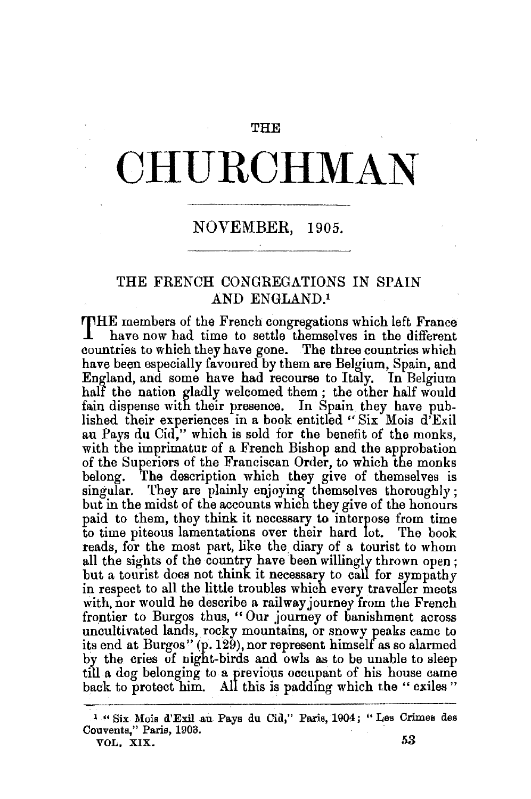## THE.

## **CHURCHMAN**

## NOVEMBER, 1905.

## THE FRENCH CONGREGATIONS IN SPAIN AND ENGLAND.<sup>1</sup>

THE members of the French congregations which left France have now had time to settle themselves in the different countries to which they have gone. The three countries which have been especially favoured by them are Belgium, Spain, and England, and some have had recourse to Italy. In Belgium half the nation gladly welcomed them ; the other half would fain dispense with their presence. In Spain they have published their experiences in a book entitled "Six Mois d'Exil au Pays du Cid," which is sold for the benefit of the monks, with the imprimatur of a French Bishop and the approbation of the Superiors of the Franciscan Order, to which the monks belong. The description which they give of themselves is The description which they give of themselves is singular. They are plainly enjoying themselves thoroughly; but in the midst of the accounts which they give of the honours paid to them, they think it necessary to interpose from time to time piteous lamentations over their hard lot. The book reads, for the most part, like the diary of a tourist to whom all the sights of the country have been willingly thrown open ; but a tourist does not think it necessary to call for sympathy in respect to all the little troubles which every traveller meets with, nor would he describe a railway journey from the French frontier to Burgos thus, " Our journey of banishment across uncultivated lands, rocky mountains, or snowy peaks came to its end at Burgos"  $(p.129)$ , nor represent himself as so alarmed by the cries of night-birds and owls as to be unable to sleep till a dog belonging to a yrevious occupant of his house came back to protect him. All this is padding which the "exiles"

<sup>~</sup>" Six Mois d'Exil au Pays du Cid," Paris, 1904; " Les Crimes des Couvents," Paris, 1903.  $VOL. XIX.$  53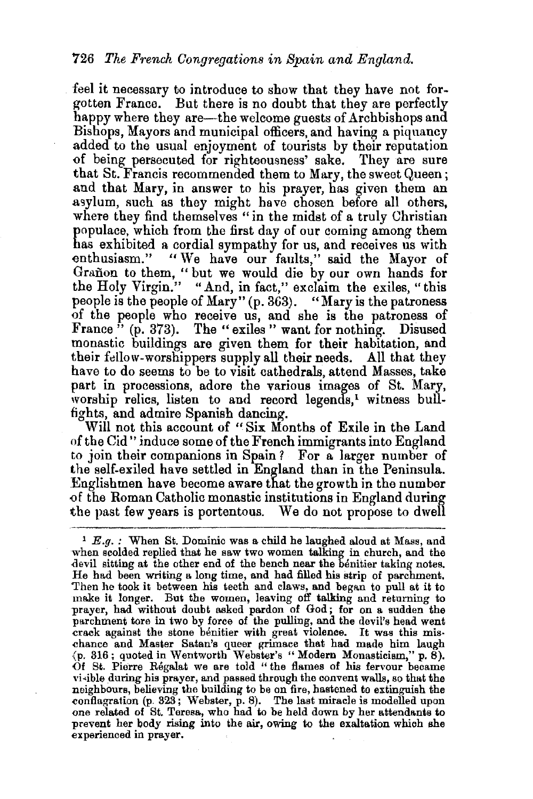feel it necessary to introduce to show that they have not forgotten France. But there is no doubt that they are perfectly happy where they are—the welcome guests of Archbishops and Bishops, Mayors and municipal officers, and having a piquancy added to the usual enjoyment of tourists by their reputation of being persecuted for righteousness' sake. They are sure that St. Francis recommended them to Mary, the sweet Queen; and that Mary, in answer to his prayer, has given them an asylum, such as they might have chosen before all others, where they find themselves "in the midst of a truly Christian populace, which from the first day of our coming among them has exhibited a cordial sympathy for us, and receives us with enthusiasm." "We have our faults," said the Mayor of Grañon to them, " but we would die by our own hands for the Holy Virgin." "And, in fact," exclaim the exiles, "this people is the people of Mary" (p. 363). "Mary is the patroness of the people who receive us, and she is the patroness of France " (p. 373). The "exiles" want for nothing. Disused monastic buildings are given them for their habitation, and their fellow-worshippers supply all their needs. All that they have to do seems to be to visit cathedrals, attend Masses, take part in processions, adore the various images of St. Mary, worship relics, listen to and record legends,<sup>1</sup> witness bullfights, and admire Spanish dancing.

Will not this account of "Six Months of Exile in the Land of the Cid" induce some of the French immigrants into England to join their companions in Spain? For a larger number of the self-exiled have settled in England than in the Peninsula. Englishmen have become aware that the growth in the number -of the Roman Catholic monastic institutions in England during the past few years is portentous. We do not propose to dwell

 $1 E.a.$ : When St. Dominic was a child he laughed aloud at Mass, and when scolded replied that he saw two women talking in church, and the devil sitting at the other end of the bench near the benitier taking notes. He had been writing a long time, and had filled his strip of parchment. Then he took it between his teeth and claws, and began to pull at it to make it longer. But the women, leaving off talking and returning to prayer, had without doubt asked pardon of God; for on a sudden the parchment tore in two by force of the pulling, and the devil's head went crack against the stone benitier with great violence. It was this mischance and Master Satan's queer grimace that had made him laugh (p. 316; quoted in Wentworth Webster's "Modern Monasticism," p. 8). Of St. Pierre Régalat we are told " the flames of his fervour became vi-ible during his prayer, and passed through the convent walls, so that the neighbours, believing the building to be on fire, hastened to extinguish the conflagration (p. 323; Webster, p. 8). The last miracle is modelled upon one related of St. Teresa, who had to be held down by her attendants to prevent her body rising into the air, owing to the exaltation which she experienced in prayer.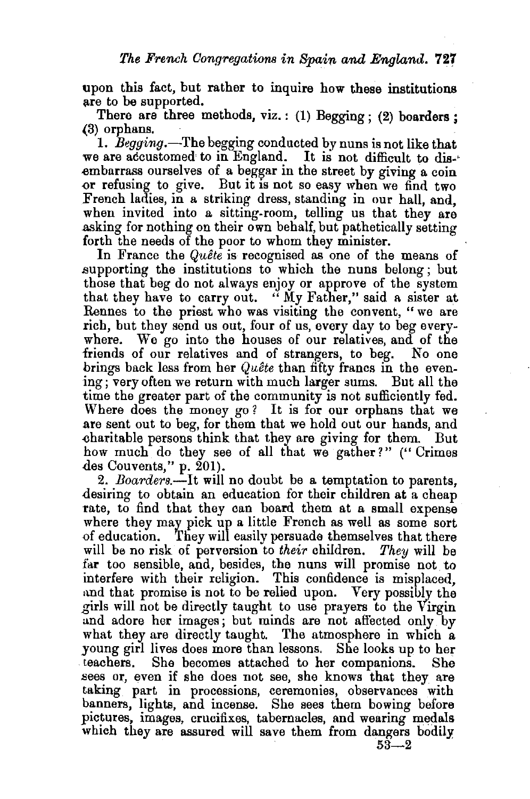upon this fact, but rather to inquire how these institutions are to be supported.

There are three methods, viz.: (1) Begging; (2) boarders;  $(3)$  orphans.

1. *Begging*.—The begging conducted by nuns is not like that we are accustomed· to in England. It is not difficult to dis-' .embarrass ourselves of a beggar in the street by giving a coin  $\sigma$ r refusing to give. But it is not so easy when we find two French ladies, in a striking dress, standing in our hall, and, when invited into a sitting-room, telling us that they are .asking for nothing on their own behalf, but pathetically setting forth the needs of the poor to whom they minister.

In France the *Quete* is recognised as one of the means of .supporting the institutions to which the nuns belong; but those that beg do not always enjoy or approve of the system that they have to carry out. " My Father," said a sister at Rennes to the priest who was visiting the convent, " we are rich, but they send us out, four of us, every day to beg everywhere. We go into the houses of our relatives, and of the friends of our relatives and of strangers, to beg. No one brings back less from her *Quete* than fifty francs in the evening ; very often we return with much larger sums. But all the time the greater part of the community is not sufficiently fed. Where does the money go? It is for our orphans that we are sent out to beg, for them that we hold out our hands, and .charitable persons think that they are giving for them. But how much do they see of all that we gather?" ("Crimes des Couvents," p. 201).

2. *Boarders.-It* will no doubt be a temptation to parents, desiring to obtain an education for their children at a cheap rate, to find that they can board them at a small expense where they may pick up a little French as well as some sort of education. They will easily persuade themselves that there will be no risk of perversion to *their* children. *They* will be far too sensible, and, besides, the nuns will promise not to interfere with their religion. This confidence is misplaced, and that promise is not to be relied upon. Very possibly the girls will not be directly taught to use prayers to the Virgin and adore her images; but minds are not affected only by what they are directly taught. The atmosphere in which a young girl lives does more than lessons. She looks up to her teachers. She becomes attached to her companions. She .sees or, even if she does not see, she knows that they are taking part in processions, ceremonies, observances with banners, lights, and incense. She sees them bowing before pictures, images, crucifixes, tabernacles, and wearing medals which they are assured will save them from dangers bodily  $53 - 2$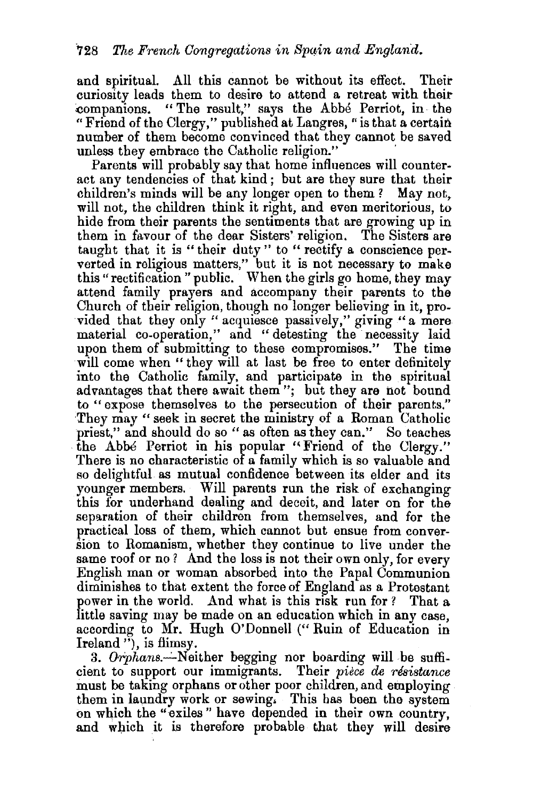and spiritual. All this cannot be without its effect. Their curiosity leads them to desire to attend a retreat with their ~ompanions. " The result," says the Abbe Perriot, in· the "Friend of the Clergy," published at Langres, "is that a certain number of them become convinced that they cannot be saved<br>unless they embrace the Catholic religion."

Parents will probably say that home influences will counteract any tendencies of that kind ; but are they sure that their children's minds will be any longer open to them *?* May not, will not, the children think it right, and even meritorious, to hide from their parents the sentiments that are growing up in them in favour of the dear Sisters' religion. The Sisters are taught that it is "their duty" to "rectify a conscience perverted in religious matters," but it is not necessary to make this" rectification "public. When the girls go home, they may attend family prayers and accompany their parents to the Church of their religion, though no longer believing in it, provided that they only "acquiesce passively," giving "a mere material co-operation," and "detesting the necessity laid upon them of submitting to these compromises." The time will come when " they will at last be free to enter definitely into the Catholic family, and participate in the spiritual advantages that there await them"; but they are not bound to "expose themselves to the persecution of their parents." ·They may " seek in secret the ministry of a Roman Catholic priest," and should do so "as often as they can." So teaches the Abbe Perriot in his popular "Friend of the Clergy." There is no characteristic of a family which is so valuable and so delightful as mutual confidence between its elder and its younger members. Will parents run the risk of exchanging this for underhand dealing and deceit, and later on for the separation of their children from themselves, and for the practical loss of them, which cannot but ensue from conversion to Romanisro, whether they continue to live under the same roof or no? And the loss is not their own only, for every English man or woman absorbed into the Papal Communion diminishes to that extent tha force of England as a Protestant power in the world. And what is this risk run for ? That a little saving may be made on an education which in any case, according to Mr. Hugh 0' Donnell ("Ruin of Education in Ireland<sup>"</sup>), is flimsy.

3. Orphans. Neither begging nor boarding will be sufficient to support our immigrants. Their *piece* de *resistance*  must be taking orphans or other poor children, and employing them in laundry work or sewing. This bas been the system on which the "exiles" have depended in their own country, and which it is therefore probable that they will desire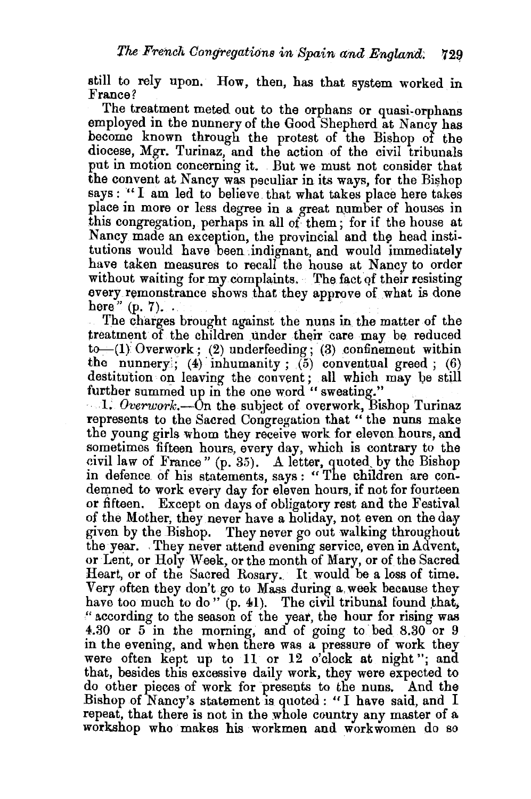still to rely upon. How, then, has that system worked in France?

The treatment meted out to the orphans or quasi-orphans employed in the nunnery of the Good Shepherd at Nancy has become known through the protest of the Bishop of the diocese, Mgr. Turinaz, and the action of the civil tribunals put in motion concerning it. But we must not consider that the convent at Nancy was peculiar in its ways, for the Bishop says : "I am led to believe that what takes place here takes place in more or less degree in a great number of houses in .this congregation, perhaps in all of them ; for if the house at Nancy made an exception, the provincial and the head institutions would have been indignant, and would immediately have taken measures to recall the house at Nancy to order without waiting for my complaints. The fact of their resisting every remonstrance shows that they approve of what is done here"  $(p, 7)$ ...

. The charges brought against the nuns in the matter of the treatment of the children under their care may be reduced  $to$   $(1)$  Overwork; (2) underfeeding; (3) confinement within the nunnery; (4) inhumanity; (5) conventual greed; (6) destitution on leaving the convent; all which may be still further summed up in the one word " sweating."

 $\ldots$ 1. Overwork.—On the subject of overwork, Bishop Turinaz represents to the Sacred Congregation that " the nuns make the young girls whom they receive work for eleven hours, and sometimes fifteen hours, every day, which is contrary to the civil law of France" (p. 35). A letter, quoted by the Bishop in defence of his statements, says : " The children are condemned to work every day for eleven hours, if not for fourteen or fifteen. Except on days of obligatory rest and the Festival of the Mother, they never have a holiday, not even on the day given by the Bishop. They never go out walking throughout the year. They never attend evening service, even in Advent, or Lent, or Holy Week, or the month of Mary, or of the Sacred Heart, or of the Sacred Rosary. It would be a loss of time. Very often they don't go to Mass during a. week because they have too much to do"  $(p. 41)$ . The civil tribunal found that, '' according to the season of the yeat, the hour for rising was 4.30 or 5 in the morning, and of going to bed 8.30 or 9 in the evening, and when there was a pressure of work they were often kept up to 11 or 12 o'clock at night"; and that, besides this excessive daily work, they were expected to do other pieces of work for presents to the nuns. And the Bishop of Nancy's statement is quoted: "I have said, and I repeat, that there is not in the whole country any master of a workshop who makes his workmen and workwomen do so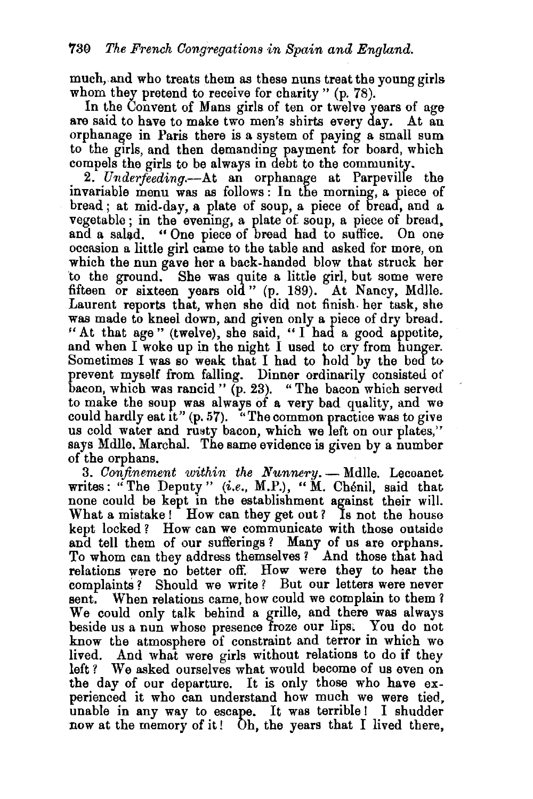much,.and who treats them as these nuns treat the young girls whom they pretend to receive for charity " (p. 78).

In the Convent of Mans girls of ten or twelve years of age are said to have to make two men's shirts every day. At an orphanage in Paris there is a system of paying a small sum to the girls, and then demanding payment for board, which compels the girls to be always in debt to the community.

2. *U'nderfeeding.-At* an orphanage at Parpeville the invariable menu was as follows : In the morning, a piece of bread; at mid-day, a plate of soup, a piece of bread, and a vegetable ; in the evening, a plate of. soup, a piece of bread. and a salad. " One piece of bread had to suffice. On one occasion a little girl came to the table and asked for more, on which the nun gave her a back-handed blow that struck her to the ground. She was quite a little girl, but some were fifteen or sixteen years old" (p. 189). At Nancy, Mdlle. Laurent reports that, when she did not finish. her task, she was made to kneel down, and given only a piece of dry bread. "At that age" (twelve), she said, " $\overline{I}$  had a good appetite, and when I woke up in the night I used to cry from hunger. Sometimes I was so weak that I had to hold by the bed to prevent myself from falling. Dinner ordinarily consisted of bacon, which was rancid" (p. 23). "The bacon which served to make the soup was always of a very bad quality, and we could hardly eat it"  $(p, 57)$ . "The common practice was to give us cold water and rusty bacon, which we left on our plates," says Mdlle. Marchal. The same evidence is given by a number of the orphans.

3. *Confinement within the Nunnery*. - Mdlle. Lecoanet writes: "The Deputy" *(i.e., M.P.),* "M. Chénil, said that none could be kept in the establishment against their will. What a mistake! How can they get out? Is not the house kept locked ? How can we communicate with those outside and tell them of our sufferings ? Many of us are orphans. To whom can they address themselves ? And those that had relations were no better off. How were they to hear the complaints? Should we write? But our letters were never sent. When relations came, how could we complain to them? We could only talk behind a grille, and there was always beside us a nun whose presence froze our lips. You do not know the atmosphere of constraint and terror in which we lived. And what were girls without relations to do if they left? We asked ourselves what would become of us even on the day of our departure. It is only those who have experienced it who can understand how much we were tied, unable in any way to escape. It was terrible! I shudder now at the memory of it! Oh, the years that I lived there,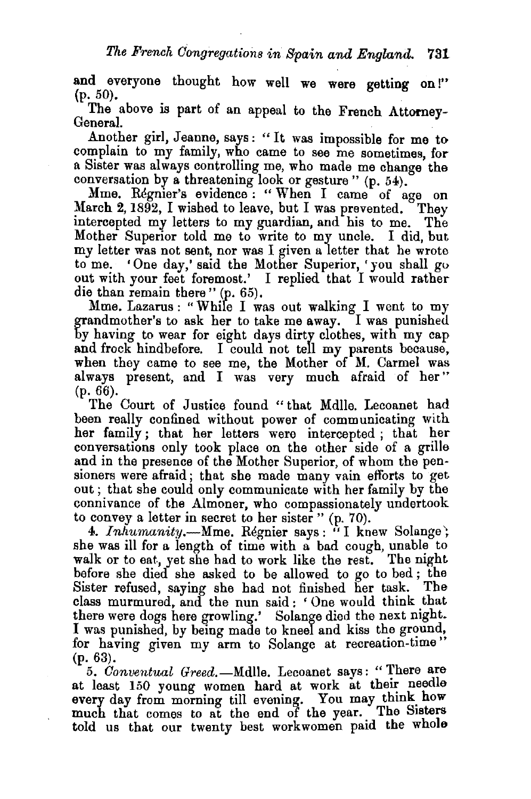and everyone thought how well we were getting on!"  $(p. 50)$ .  $(p. 50)$ .

The above is part of an appeal to the French Attorney- General.

Another girl, Jeanne, says: "It was impossible for me to complain to my family, who came to see me sometimes, for a Sister was always controlling me, who made me change the conversation by a threatening look or gesture" (p. 54).

Mme. Regnier's evidence: "When I came of age on March 2, 1892, I wished to leave, but I was prevented. They intercepted my letters to my guardian, and his to me. The Mother Superior told me to write to my uncle. I did, but my letter was not sent, nor was I given a letter that he wrote<br>to me. 'One day,' said the Mother Superior, 'you shall go 'One day,' said the Mother Superior, 'you shall go out with your feet foremost.' I replied that I would rather die than remain there" (p. 65).

Mme. Lazarus : "While I was out walking I went to my grandmother's to ask her to take me away. I was punished by having to wear for eight days dirty clothes, with my cap and frock hindbefore. I could not tell my parents because, when they came to see me, the Mother of M. Carmel was always present, and I was very much afraid of her" (p. 66).

The Court of Justice found "that Mdlle. Lecoanet had been really confined without power of communicating with her family ; that her letters were intercepted ; that her conversations only took place on the other side of a grille and in the presence of the Mother Superior, of whom the pensioners were afraid ; that she made many vain efforts to get out ; that she could only communicate with her family by the connivance of the Almoner, who compassionately undertook to convey a letter in secret to her sister" (p. 70).

4. *Inhumanity*.—Mme. Regnier says: "I knew Solange; she was ill for a length of time with a bad cough, unable to walk or to eat, yet she had to work like the rest. The night before she died she asked to be allowed to go to bed ; the Sister refused, saying she had not finished her task. The class murmured, and the nun said : 'One would think that there were dogs here growling.' Solange died the next night. I was punished, by being made to kneel and kiss the ground, for having given my arm to Solange at recreation-time" (p. 63).

5. Conventual *Greed.*-Mdlle. Lecoanet says: "There are at least 150 young women hard at work at their needle every day from morning till evening. You may think how much that comes to at the end of the year. The Sisters told us that our twenty best workwomen paid the whole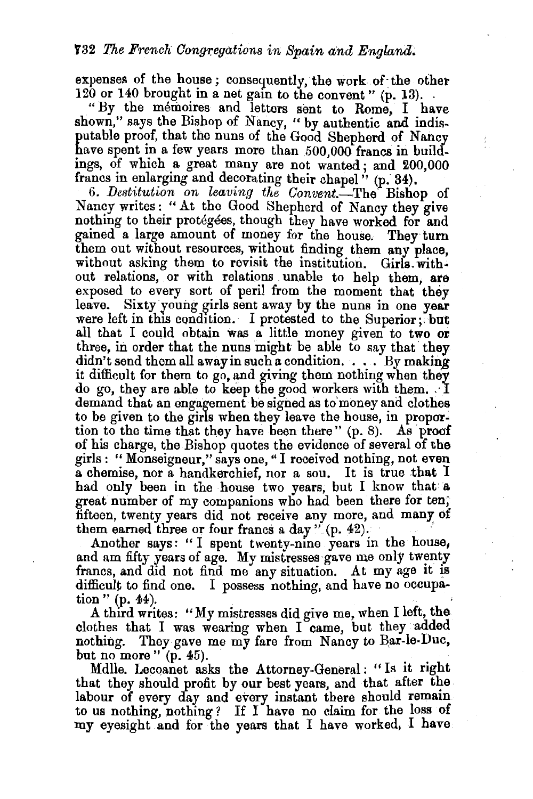expenses of the house; consequently, the work of the other 120 or 140 brought in a net gain to the convent "  $(p. 13)$ .

"By the memoires and letters sent to Rome, I have shown." says the Bishop of Nancy, "by authentic and indisputable proof, that the nuns of the Good Shepherd of Nancy have spent in a few years more than 500,000 francs in buildings, of which a great many are not wanted; and 200,000 francs in enlarging and decorating their chapel" (p. 34).

6. *Destitution on leaving the Oonvent.-The* Bishop of Nancy writes: "At the Good Shepherd of Nancy they give nothing to their protegees, though they have worked for and gained a large amount of money for the house. They turn them out without resources, without finding them any place, without asking them to revisit the institution. Girls. without relations, or with relations unable to help them, are exposed to every sort of peril from the moment that they leave. Sixty young girls sent away by the nuns in one year. were left in this condition. I protested to the Superior; but all that I could obtain was a little money given to two or three, in order that the nuns might be able to say that they  $\text{d}$ idn't send them all away in such a condition.  $\ldots$  By making it difficult for them to go, and giving them nothing when they do go, they are able to keep the good workers with them. I demand that an engagement be signed as to money and clothes to be given to the girls when they leave the house, in proportion to the time that they have been there" (p. 8). As proof of his charge, the Bishop quotes the evidence of several of the girls : " Monseigneur," says one, "I received nothing, not even a chemise, nor a handkerchief, nor a sou. It is true that I had only been in the house two years, but I know that a great number of my companions who had been there for ten; fifteen, twenty years did not receive any more, and many of them earned three or four francs a day  $"$  (p. 42).

Another says: "I spent twenty-nine years in the house, and am fifty years of age. My mistresses gave me only twenty francs, and did not find me any situation. At my age it is difficult to find one. I possess nothing, and have no occupation "  $(p. 44)$ .

A third writes: "My mistresses did give me, when I left, the clothes that I was wearing when I came, but they added nothing. They gave me my fare from Nancy to Bar-le-Duc, but no more"  $(p. 45)$ .

Mdlle. Lecoanet asks the Attorney-General: "Is it right that they should profit by our best years, and that after the labour of every day and every instant there should remain to us nothing, nothing ? If I have no claim for the loss of my eyesight and for the years that I have worked, I have